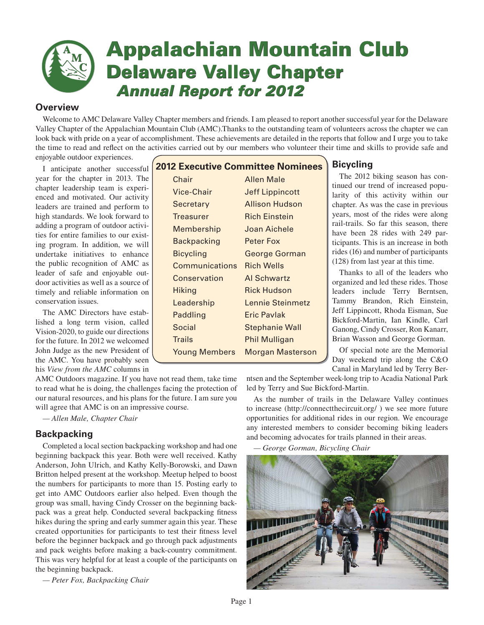

# **Appalachian Mountain Club Delaware Valley Chapter Annual Report for 2012**

# **Overview**

Welcome to AMC Delaware Valley Chapter members and friends. I am pleased to report another successful year for the Delaware Valley Chapter of the Appalachian Mountain Club (AMC).Thanks to the outstanding team of volunteers across the chapter we can look back with pride on a year of accomplishment. These achievements are detailed in the reports that follow and I urge you to take the time to read and reflect on the activities carried out by our members who volunteer their time and skills to provide safe and

enjoyable outdoor experiences.

I anticipate another successful year for the chapter in 2013. The chapter leadership team is experienced and motivated. Our activity leaders are trained and perform to high standards. We look forward to adding a program of outdoor activities for entire families to our existing program. In addition, we will undertake initiatives to enhance the public recognition of AMC as leader of safe and enjoyable outdoor activities as well as a source of timely and reliable information on conservation issues.

The AMC Directors have established a long term vision, called Vision-2020, to guide our directions for the future. In 2012 we welcomed John Judge as the new President of the AMC. You have probably seen his *View from the AMC* columns in

AMC Outdoors magazine. If you have not read them, take time to read what he is doing, the challenges facing the protection of our natural resources, and his plans for the future. I am sure you will agree that AMC is on an impressive course.

*— Allen Male, Chapter Chair*

# **Backpacking**

Completed a local section backpacking workshop and had one beginning backpack this year. Both were well received. Kathy Anderson, John Ulrich, and Kathy Kelly-Borowski, and Dawn Britton helped present at the workshop. Meetup helped to boost the numbers for participants to more than 15. Posting early to get into AMC Outdoors earlier also helped. Even though the group was small, having Cindy Crosser on the beginning backpack was a great help. Conducted several backpacking fitness hikes during the spring and early summer again this year. These created opportunities for participants to test their fitness level before the beginner backpack and go through pack adjustments and pack weights before making a back-country commitment. This was very helpful for at least a couple of the participants on the beginning backpack.

*— Peter Fox, Backpacking Chair* 

# **2012 Executive Committee Nominees**

| Chair                | <b>Allen Male</b>       |
|----------------------|-------------------------|
| <b>Vice-Chair</b>    | <b>Jeff Lippincott</b>  |
| Secretary            | <b>Allison Hudson</b>   |
| Treasurer            | <b>Rich Einstein</b>    |
| Membership           | Joan Aichele            |
| Backpacking          | Peter Fox               |
| <b>Bicycling</b>     | George Gorman           |
| Communications       | <b>Rich Wells</b>       |
| Conservation         | <b>Al Schwartz</b>      |
| Hiking               | <b>Rick Hudson</b>      |
| Leadership           | Lennie Steinmetz        |
| Paddling             | Eric Pavlak             |
| Social               | <b>Stephanie Wall</b>   |
| <b>Trails</b>        | <b>Phil Mulligan</b>    |
| <b>Young Members</b> | <b>Morgan Masterson</b> |

# **Bicycling**

The 2012 biking season has continued our trend of increased popularity of this activity within our chapter. As was the case in previous years, most of the rides were along rail-trails. So far this season, there have been 28 rides with 249 participants. This is an increase in both rides (16) and number of participants (128) from last year at this time.

Thanks to all of the leaders who organized and led these rides. Those leaders include Terry Berntsen, Tammy Brandon, Rich Einstein, Jeff Lippincott, Rhoda Eisman, Sue Bickford-Martin, Ian Kindle, Carl Ganong, Cindy Crosser, Ron Kanarr, Brian Wasson and George Gorman.

Of special note are the Memorial Day weekend trip along the C&O Canal in Maryland led by Terry Ber-

ntsen and the September week-long trip to Acadia National Park led by Terry and Sue Bickford-Martin.

As the number of trails in the Delaware Valley continues to increase (http://connectthecircuit.org/ ) we see more future opportunities for additional rides in our region. We encourage any interested members to consider becoming biking leaders and becoming advocates for trails planned in their areas.

*— George Gorman, Bicycling Chair* 

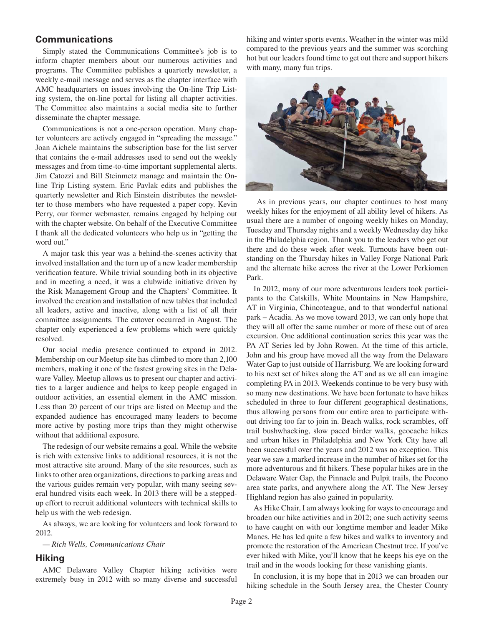### **Communications**

Simply stated the Communications Committee's job is to inform chapter members about our numerous activities and programs. The Committee publishes a quarterly newsletter, a weekly e-mail message and serves as the chapter interface with AMC headquarters on issues involving the On-line Trip Listing system, the on-line portal for listing all chapter activities. The Committee also maintains a social media site to further disseminate the chapter message.

Communications is not a one-person operation. Many chapter volunteers are actively engaged in "spreading the message." Joan Aichele maintains the subscription base for the list server that contains the e-mail addresses used to send out the weekly messages and from time-to-time important supplemental alerts. Jim Catozzi and Bill Steinmetz manage and maintain the Online Trip Listing system. Eric Pavlak edits and publishes the quarterly newsletter and Rich Einstein distributes the newsletter to those members who have requested a paper copy. Kevin Perry, our former webmaster, remains engaged by helping out with the chapter website. On behalf of the Executive Committee I thank all the dedicated volunteers who help us in "getting the word out."

A major task this year was a behind-the-scenes activity that involved installation and the turn up of a new leader membership verification feature. While trivial sounding both in its objective and in meeting a need, it was a clubwide initiative driven by the Risk Management Group and the Chapters' Committee. It involved the creation and installation of new tables that included all leaders, active and inactive, along with a list of all their committee assignments. The cutover occurred in August. The chapter only experienced a few problems which were quickly resolved.

Our social media presence continued to expand in 2012. Membership on our Meetup site has climbed to more than 2,100 members, making it one of the fastest growing sites in the Delaware Valley. Meetup allows us to present our chapter and activities to a larger audience and helps to keep people engaged in outdoor activities, an essential element in the AMC mission. Less than 20 percent of our trips are listed on Meetup and the expanded audience has encouraged many leaders to become more active by posting more trips than they might otherwise without that additional exposure.

The redesign of our website remains a goal. While the website is rich with extensive links to additional resources, it is not the most attractive site around. Many of the site resources, such as links to other area organizations, directions to parking areas and the various guides remain very popular, with many seeing several hundred visits each week. In 2013 there will be a steppedup effort to recruit additional volunteers with technical skills to help us with the web redesign.

As always, we are looking for volunteers and look forward to 2012.

*— Rich Wells, Communications Chair*

# **Hiking**

AMC Delaware Valley Chapter hiking activities were extremely busy in 2012 with so many diverse and successful hiking and winter sports events. Weather in the winter was mild compared to the previous years and the summer was scorching hot but our leaders found time to get out there and support hikers with many, many fun trips.



 As in previous years, our chapter continues to host many weekly hikes for the enjoyment of all ability level of hikers. As usual there are a number of ongoing weekly hikes on Monday, Tuesday and Thursday nights and a weekly Wednesday day hike in the Philadelphia region. Thank you to the leaders who get out there and do these week after week. Turnouts have been outstanding on the Thursday hikes in Valley Forge National Park and the alternate hike across the river at the Lower Perkiomen Park.

In 2012, many of our more adventurous leaders took participants to the Catskills, White Mountains in New Hampshire, AT in Virginia, Chincoteague, and to that wonderful national park – Acadia. As we move toward 2013, we can only hope that they will all offer the same number or more of these out of area excursion. One additional continuation series this year was the PA AT Series led by John Rowen. At the time of this article, John and his group have moved all the way from the Delaware Water Gap to just outside of Harrisburg. We are looking forward to his next set of hikes along the AT and as we all can imagine completing PA in 2013. Weekends continue to be very busy with so many new destinations. We have been fortunate to have hikes scheduled in three to four different geographical destinations, thus allowing persons from our entire area to participate without driving too far to join in. Beach walks, rock scrambles, off trail bushwhacking, slow paced birder walks, geocache hikes and urban hikes in Philadelphia and New York City have all been successful over the years and 2012 was no exception. This year we saw a marked increase in the number of hikes set for the more adventurous and fit hikers. These popular hikes are in the Delaware Water Gap, the Pinnacle and Pulpit trails, the Pocono area state parks, and anywhere along the AT. The New Jersey Highland region has also gained in popularity.

As Hike Chair, I am always looking for ways to encourage and broaden our hike activities and in 2012; one such activity seems to have caught on with our longtime member and leader Mike Manes. He has led quite a few hikes and walks to inventory and promote the restoration of the American Chestnut tree. If you've ever hiked with Mike, you'll know that he keeps his eye on the trail and in the woods looking for these vanishing giants.

In conclusion, it is my hope that in 2013 we can broaden our hiking schedule in the South Jersey area, the Chester County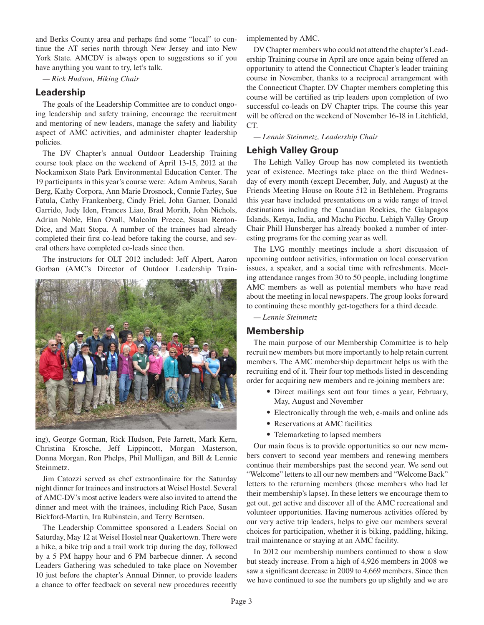and Berks County area and perhaps find some "local" to continue the AT series north through New Jersey and into New York State. AMCDV is always open to suggestions so if you have anything you want to try, let's talk.

*— Rick Hudson, Hiking Chair*

## **Leadership**

The goals of the Leadership Committee are to conduct ongoing leadership and safety training, encourage the recruitment and mentoring of new leaders, manage the safety and liability aspect of AMC activities, and administer chapter leadership policies.

The DV Chapter's annual Outdoor Leadership Training course took place on the weekend of April 13-15, 2012 at the Nockamixon State Park Environmental Education Center. The 19 participants in this year's course were: Adam Ambrus, Sarah Berg, Kathy Corpora, Ann Marie Drosnock, Connie Farley, Sue Fatula, Cathy Frankenberg, Cindy Friel, John Garner, Donald Garrido, Judy Iden, Frances Liao, Brad Morith, John Nichols, Adrian Noble, Elan Ovall, Malcolm Preece, Susan Renton-Dice, and Matt Stopa. A number of the trainees had already completed their first co-lead before taking the course, and several others have completed co-leads since then.

The instructors for OLT 2012 included: Jeff Alpert, Aaron Gorban (AMC's Director of Outdoor Leadership Train-



ing), George Gorman, Rick Hudson, Pete Jarrett, Mark Kern, Christina Krosche, Jeff Lippincott, Morgan Masterson, Donna Morgan, Ron Phelps, Phil Mulligan, and Bill & Lennie Steinmetz.

Jim Catozzi served as chef extraordinaire for the Saturday night dinner for trainees and instructors at Weisel Hostel. Several of AMC-DV's most active leaders were also invited to attend the dinner and meet with the trainees, including Rich Pace, Susan Bickford-Martin, Ira Rubinstein, and Terry Berntsen.

The Leadership Committee sponsored a Leaders Social on Saturday, May 12 at Weisel Hostel near Quakertown. There were a hike, a bike trip and a trail work trip during the day, followed by a 5 PM happy hour and 6 PM barbecue dinner. A second Leaders Gathering was scheduled to take place on November 10 just before the chapter's Annual Dinner, to provide leaders a chance to offer feedback on several new procedures recently

implemented by AMC.

DV Chapter members who could not attend the chapter's Leadership Training course in April are once again being offered an opportunity to attend the Connecticut Chapter's leader training course in November, thanks to a reciprocal arrangement with the Connecticut Chapter. DV Chapter members completing this course will be certified as trip leaders upon completion of two successful co-leads on DV Chapter trips. The course this year will be offered on the weekend of November 16-18 in Litchfield, CT.

*— Lennie Steinmetz, Leadership Chair*

# **Lehigh Valley Group**

The Lehigh Valley Group has now completed its twentieth year of existence. Meetings take place on the third Wednesday of every month (except December, July, and August) at the Friends Meeting House on Route 512 in Bethlehem. Programs this year have included presentations on a wide range of travel destinations including the Canadian Rockies, the Galapagos Islands, Kenya, India, and Machu Picchu. Lehigh Valley Group Chair Phill Hunsberger has already booked a number of interesting programs for the coming year as well.

The LVG monthly meetings include a short discussion of upcoming outdoor activities, information on local conservation issues, a speaker, and a social time with refreshments. Meeting attendance ranges from 30 to 50 people, including longtime AMC members as well as potential members who have read about the meeting in local newspapers. The group looks forward to continuing these monthly get-togethers for a third decade.

*— Lennie Steinmetz*

# **Membership**

The main purpose of our Membership Committee is to help recruit new members but more importantly to help retain current members. The AMC membership department helps us with the recruiting end of it. Their four top methods listed in descending order for acquiring new members and re-joining members are:

- Direct mailings sent out four times a year, February, May, August and November
- Electronically through the web, e-mails and online ads
- Reservations at AMC facilities
- Telemarketing to lapsed members

Our main focus is to provide opportunities so our new members convert to second year members and renewing members continue their memberships past the second year. We send out "Welcome" letters to all our new members and "Welcome Back" letters to the returning members (those members who had let their membership's lapse). In these letters we encourage them to get out, get active and discover all of the AMC recreational and volunteer opportunities. Having numerous activities offered by our very active trip leaders, helps to give our members several choices for participation, whether it is biking, paddling, hiking, trail maintenance or staying at an AMC facility.

In 2012 our membership numbers continued to show a slow but steady increase. From a high of 4,926 members in 2008 we saw a significant decrease in 2009 to 4,669 members. Since then we have continued to see the numbers go up slightly and we are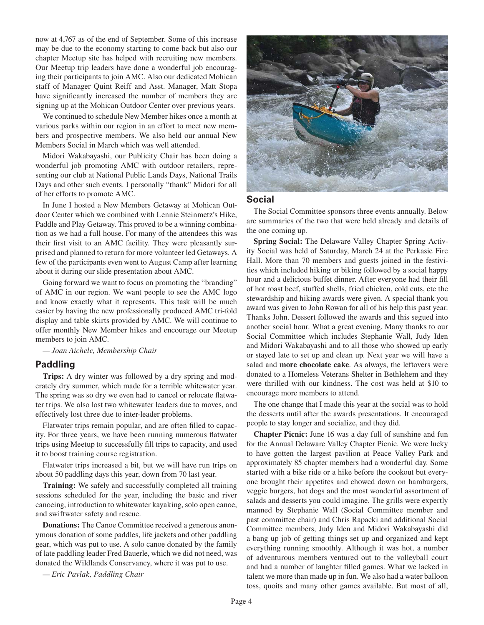now at 4,767 as of the end of September. Some of this increase may be due to the economy starting to come back but also our chapter Meetup site has helped with recruiting new members. Our Meetup trip leaders have done a wonderful job encouraging their participants to join AMC. Also our dedicated Mohican staff of Manager Quint Reiff and Asst. Manager, Matt Stopa have significantly increased the number of members they are signing up at the Mohican Outdoor Center over previous years.

We continued to schedule New Member hikes once a month at various parks within our region in an effort to meet new members and prospective members. We also held our annual New Members Social in March which was well attended.

Midori Wakabayashi, our Publicity Chair has been doing a wonderful job promoting AMC with outdoor retailers, representing our club at National Public Lands Days, National Trails Days and other such events. I personally "thank" Midori for all of her efforts to promote AMC.

In June I hosted a New Members Getaway at Mohican Outdoor Center which we combined with Lennie Steinmetz's Hike, Paddle and Play Getaway. This proved to be a winning combination as we had a full house. For many of the attendees this was their first visit to an AMC facility. They were pleasantly surprised and planned to return for more volunteer led Getaways. A few of the participants even went to August Camp after learning about it during our slide presentation about AMC.

Going forward we want to focus on promoting the "branding" of AMC in our region. We want people to see the AMC logo and know exactly what it represents. This task will be much easier by having the new professionally produced AMC tri-fold display and table skirts provided by AMC. We will continue to offer monthly New Member hikes and encourage our Meetup members to join AMC.

*— Joan Aichele, Membership Chair*

#### **Paddling**

**Trips:** A dry winter was followed by a dry spring and moderately dry summer, which made for a terrible whitewater year. The spring was so dry we even had to cancel or relocate flatwater trips. We also lost two whitewater leaders due to moves, and effectively lost three due to inter-leader problems.

Flatwater trips remain popular, and are often filled to capacity. For three years, we have been running numerous flatwater trips using Meetup to successfully fill trips to capacity, and used it to boost training course registration.

Flatwater trips increased a bit, but we will have run trips on about 50 paddling days this year, down from 70 last year.

**Training:** We safely and successfully completed all training sessions scheduled for the year, including the basic and river canoeing, introduction to whitewater kayaking, solo open canoe, and swiftwater safety and rescue.

**Donations:** The Canoe Committee received a generous anonymous donation of some paddles, life jackets and other paddling gear, which was put to use. A solo canoe donated by the family of late paddling leader Fred Bauerle, which we did not need, was donated the Wildlands Conservancy, where it was put to use.

*— Eric Pavlak, Paddling Chair*



# **Social**

The Social Committee sponsors three events annually. Below are summaries of the two that were held already and details of the one coming up.

**Spring Social:** The Delaware Valley Chapter Spring Activity Social was held of Saturday, March 24 at the Perkasie Fire Hall. More than 70 members and guests joined in the festivities which included hiking or biking followed by a social happy hour and a delicious buffet dinner. After everyone had their fill of hot roast beef, stuffed shells, fried chicken, cold cuts, etc the stewardship and hiking awards were given. A special thank you award was given to John Rowan for all of his help this past year. Thanks John. Dessert followed the awards and this segued into another social hour. What a great evening. Many thanks to our Social Committee which includes Stephanie Wall, Judy Iden and Midori Wakabayashi and to all those who showed up early or stayed late to set up and clean up. Next year we will have a salad and **more chocolate cake**. As always, the leftovers were donated to a Homeless Veterans Shelter in Bethlehem and they were thrilled with our kindness. The cost was held at \$10 to encourage more members to attend.

The one change that I made this year at the social was to hold the desserts until after the awards presentations. It encouraged people to stay longer and socialize, and they did.

**Chapter Picnic:** June 16 was a day full of sunshine and fun for the Annual Delaware Valley Chapter Picnic. We were lucky to have gotten the largest pavilion at Peace Valley Park and approximately 85 chapter members had a wonderful day. Some started with a bike ride or a hike before the cookout but everyone brought their appetites and chowed down on hamburgers, veggie burgers, hot dogs and the most wonderful assortment of salads and desserts you could imagine. The grills were expertly manned by Stephanie Wall (Social Committee member and past committee chair) and Chris Rapacki and additional Social Committee members, Judy Iden and Midori Wakabayashi did a bang up job of getting things set up and organized and kept everything running smoothly. Although it was hot, a number of adventurous members ventured out to the volleyball court and had a number of laughter filled games. What we lacked in talent we more than made up in fun. We also had a water balloon toss, quoits and many other games available. But most of all,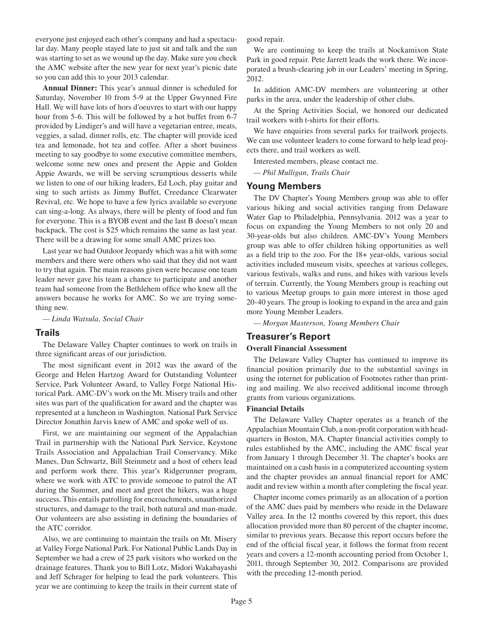everyone just enjoyed each other's company and had a spectacular day. Many people stayed late to just sit and talk and the sun was starting to set as we wound up the day. Make sure you check the AMC website after the new year for next year's picnic date so you can add this to your 2013 calendar.

**Annual Dinner:** This year's annual dinner is scheduled for Saturday, November 10 from 5-9 at the Upper Gwynned Fire Hall. We will have lots of hors d'oeuvres to start with our happy hour from 5-6. This will be followed by a hot buffet from 6-7 provided by Lindiger's and will have a vegetarian entree, meats, veggies, a salad, dinner rolls, etc. The chapter will provide iced tea and lemonade, hot tea and coffee. After a short business meeting to say goodbye to some executive committee members, welcome some new ones and present the Appie and Golden Appie Awards, we will be serving scrumptious desserts while we listen to one of our hiking leaders, Ed Loch, play guitar and sing to such artists as Jimmy Buffet, Creedance Clearwater Revival, etc. We hope to have a few lyrics available so everyone can sing-a-long. As always, there will be plenty of food and fun for everyone. This is a BYOB event and the last B doesn't mean backpack. The cost is \$25 which remains the same as last year. There will be a drawing for some small AMC prizes too.

Last year we had Outdoor Jeopardy which was a hit with some members and there were others who said that they did not want to try that again. The main reasons given were because one team leader never gave his team a chance to participate and another team had someone from the Bethlehem office who knew all the answers because he works for AMC. So we are trying something new.

*— Linda Watsula, Social Chair*

#### **Trails**

The Delaware Valley Chapter continues to work on trails in three significant areas of our jurisdiction.

The most significant event in 2012 was the award of the George and Helen Hartzog Award for Outstanding Volunteer Service, Park Volunteer Award, to Valley Forge National Historical Park. AMC-DV's work on the Mt. Misery trails and other sites was part of the qualification for award and the chapter was represented at a luncheon in Washington. National Park Service Director Jonathin Jarvis knew of AMC and spoke well of us.

First, we are maintaining our segment of the Appalachian Trail in partnership with the National Park Service, Keystone Trails Association and Appalachian Trail Conservancy. Mike Manes, Dan Schwartz, Bill Steinmetz and a host of others lead and perform work there. This year's Ridgerunner program, where we work with ATC to provide someone to patrol the AT during the Summer, and meet and greet the hikers, was a huge success. This entails patrolling for encroachments, unauthorized structures, and damage to the trail, both natural and man-made. Our volunteers are also assisting in defining the boundaries of the ATC corridor.

Also, we are continuing to maintain the trails on Mt. Misery at Valley Forge National Park. For National Public Lands Day in September we had a crew of 25 park visitors who worked on the drainage features. Thank you to Bill Lotz, Midori Wakabayashi and Jeff Schrager for helping to lead the park volunteers. This year we are continuing to keep the trails in their current state of good repair.

We are continuing to keep the trails at Nockamixon State Park in good repair. Pete Jarrett leads the work there. We incorporated a brush-clearing job in our Leaders' meeting in Spring, 2012.

In addition AMC-DV members are volunteering at other parks in the area, under the leadership of other clubs.

At the Spring Activities Social, we honored our dedicated trail workers with t-shirts for their efforts.

We have enquiries from several parks for trailwork projects. We can use volunteer leaders to come forward to help lead projects there, and trail workers as well.

Interested members, please contact me.

*— Phil Mulligan, Trails Chair*

#### **Young Members**

The DV Chapter's Young Members group was able to offer various hiking and social activities ranging from Delaware Water Gap to Philadelphia, Pennsylvania. 2012 was a year to focus on expanding the Young Members to not only 20 and 30-year-olds but also children. AMC-DV's Young Members group was able to offer children hiking opportunities as well as a field trip to the zoo. For the 18+ year-olds, various social activities included museum visits, speeches at various colleges, various festivals, walks and runs, and hikes with various levels of terrain. Currently, the Young Members group is reaching out to various Meetup groups to gain more interest in those aged 20-40 years. The group is looking to expand in the area and gain more Young Member Leaders.

*— Morgan Masterson, Young Members Chair*

# **Treasurer's Report**

#### **Overall Financial Assessment**

The Delaware Valley Chapter has continued to improve its financial position primarily due to the substantial savings in using the internet for publication of Footnotes rather than printing and mailing. We also received additional income through grants from various organizations.

#### **Financial Details**

The Delaware Valley Chapter operates as a branch of the Appalachian Mountain Club, a non-profit corporation with headquarters in Boston, MA. Chapter financial activities comply to rules established by the AMC, including the AMC fiscal year from January 1 through December 31. The chapter's books are maintained on a cash basis in a computerized accounting system and the chapter provides an annual financial report for AMC audit and review within a month after completing the fiscal year.

Chapter income comes primarily as an allocation of a portion of the AMC dues paid by members who reside in the Delaware Valley area. In the 12 months covered by this report, this dues allocation provided more than 80 percent of the chapter income, similar to previous years. Because this report occurs before the end of the official fiscal year, it follows the format from recent years and covers a 12-month accounting period from October 1, 2011, through September 30, 2012. Comparisons are provided with the preceding 12-month period.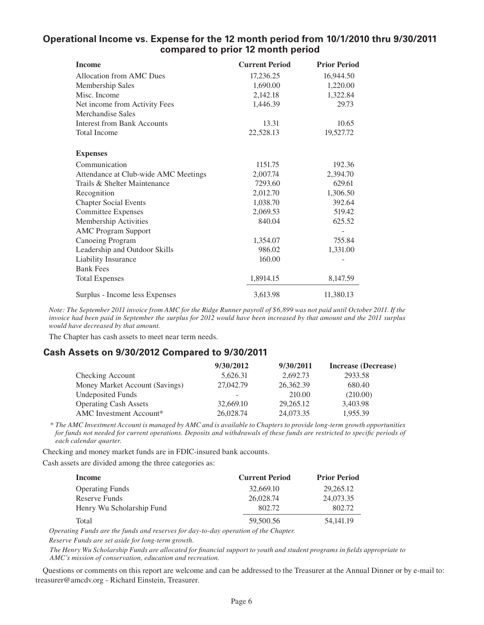# **Operational Income vs. Expense for the 12 month period from 10/1/2010 thru 9/30/2011 compared to prior 12 month period**

| <b>Income</b>                        | <b>Current Period</b> | <b>Prior Period</b> |
|--------------------------------------|-----------------------|---------------------|
| Allocation from AMC Dues             | 17,236.25             | 16,944.50           |
| Membership Sales                     | 1,690.00              | 1,220.00            |
| Misc. Income                         | 2,142.18              | 1,322.84            |
| Net income from Activity Fees        | 1,446.39              | 29.73               |
| Merchandise Sales                    |                       |                     |
| <b>Interest from Bank Accounts</b>   | 13.31                 | 10.65               |
| <b>Total Income</b>                  | 22,528.13             | 19,527.72           |
| <b>Expenses</b>                      |                       |                     |
| Communication                        | 1151.75               | 192.36              |
| Attendance at Club-wide AMC Meetings | 2,007.74              | 2,394.70            |
| Trails & Shelter Maintenance         | 7293.60               | 629.61              |
| Recognition                          | 2,012.70              | 1,306.50            |
| <b>Chapter Social Events</b>         | 1,038.70              | 392.64              |
| <b>Committee Expenses</b>            | 2,069.53              | 519.42              |
| Membership Activities                | 840.04                | 625.52              |
| <b>AMC Program Support</b>           |                       |                     |
| Canoeing Program                     | 1,354.07              | 755.84              |
| Leadership and Outdoor Skills        | 986.02                | 1,331.00            |
| Liability Insurance                  | 160.00                |                     |
| <b>Bank Fees</b>                     |                       |                     |
| <b>Total Expenses</b>                | 1,8914.15             | 8,147.59            |
| Surplus - Income less Expenses       | 3,613.98              | 11,380.13           |

*Note: The September 2011 invoice from AMC for the Ridge Runner payroll of \$6,899 was not paid until October 2011. If the invoice had been paid in September the surplus for 2012 would have been increased by that amount and the 2011 surplus would have decreased by that amount.*

The Chapter has cash assets to meet near term needs.

# **Cash Assets on 9/30/2012 Compared to 9/30/2011**

|                                | 9/30/2012 | 9/30/2011 | Increase (Decrease) |
|--------------------------------|-----------|-----------|---------------------|
| Checking Account               | 5,626.31  | 2.692.73  | 2933.58             |
| Money Market Account (Savings) | 27,042.79 | 26,362.39 | 680.40              |
| <b>Undeposited Funds</b>       | -         | 210.00    | (210.00)            |
| <b>Operating Cash Assets</b>   | 32,669.10 | 29,265.12 | 3,403.98            |
| AMC Investment Account*        | 26,028.74 | 24,073.35 | 1,955.39            |

 *\* The AMC Investment Account is managed by AMC and is available to Chapters to provide long-term growth opportunities for funds not needed for current operations. Deposits and withdrawals of these funds are restricted to specific periods of each calendar quarter.* 

Checking and money market funds are in FDIC-insured bank accounts.

Cash assets are divided among the three categories as:

| Income                    | <b>Current Period</b> | <b>Prior Period</b> |
|---------------------------|-----------------------|---------------------|
| <b>Operating Funds</b>    | 32,669.10             | 29,265.12           |
| Reserve Funds             | 26,028.74             | 24,073.35           |
| Henry Wu Scholarship Fund | 802.72                | 802.72              |
| Total                     | 59,500.56             | 54, 141, 19         |

*Operating Funds are the funds and reserves for day-to-day operation of the Chapter. Reserve Funds are set aside for long-term growth.*

*The Henry Wu Scholarship Funds are allocated for fi nancial support to youth and student programs in fi elds appropriate to AMC's mission of conservation, education and recreation.*

Questions or comments on this report are welcome and can be addressed to the Treasurer at the Annual Dinner or by e-mail to: treasurer@amcdv.org - Richard Einstein, Treasurer.